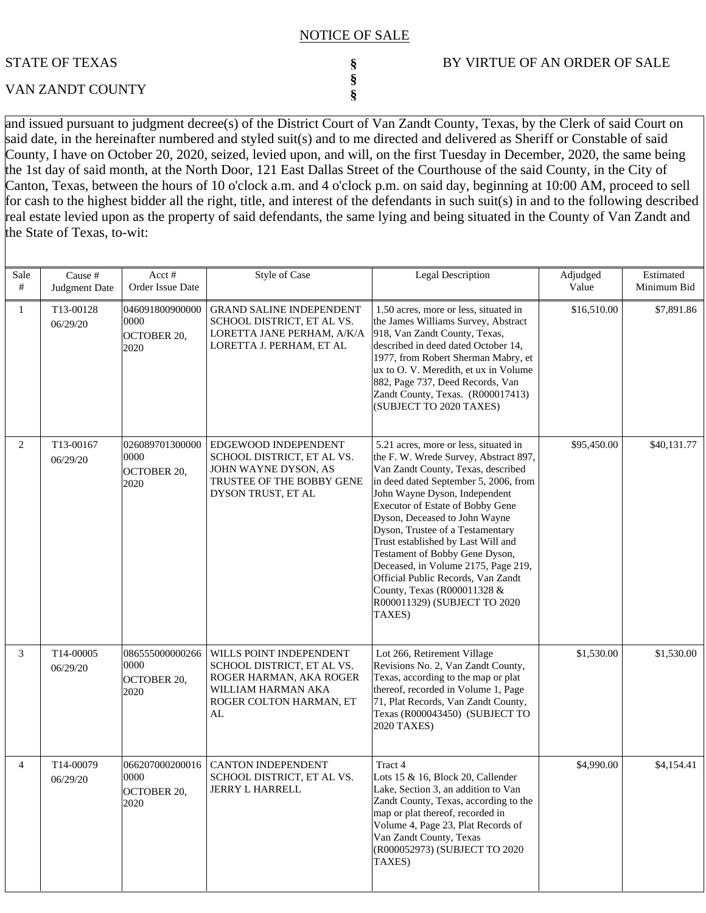#### NOTICE OF SALE

**§ § §**

# STATE OF TEXAS

# VAN ZANDT COUNTY

### BY VIRTUE OF AN ORDER OF SALE

and issued pursuant to judgment decree(s) of the District Court of Van Zandt County, Texas, by the Clerk of said Court on said date, in the hereinafter numbered and styled suit(s) and to me directed and delivered as Sheriff or Constable of said County, I have on October 20, 2020, seized, levied upon, and will, on the first Tuesday in December, 2020, the same being the 1st day of said month, at the North Door, 121 East Dallas Street of the Courthouse of the said County, in the City of Canton, Texas, between the hours of 10 o'clock a.m. and 4 o'clock p.m. on said day, beginning at 10:00 AM, proceed to sell for cash to the highest bidder all the right, title, and interest of the defendants in such suit(s) in and to the following described real estate levied upon as the property of said defendants, the same lying and being situated in the County of Van Zandt and the State of Texas, to-wit:

| Sale<br>#      | Cause #<br>Judgment Date | Acct#<br>Order Issue Date                      | <b>Style of Case</b>                                                                                                                    | <b>Legal Description</b>                                                                                                                                                                                                                                                                                                                                                                                                                                                                                                              | Adjudged<br>Value | Estimated<br>Minimum Bid |
|----------------|--------------------------|------------------------------------------------|-----------------------------------------------------------------------------------------------------------------------------------------|---------------------------------------------------------------------------------------------------------------------------------------------------------------------------------------------------------------------------------------------------------------------------------------------------------------------------------------------------------------------------------------------------------------------------------------------------------------------------------------------------------------------------------------|-------------------|--------------------------|
| 1              | T13-00128<br>06/29/20    | 046091800900000<br>0000<br>OCTOBER 20,<br>2020 | <b>GRAND SALINE INDEPENDENT</b><br>SCHOOL DISTRICT, ET AL VS.<br>LORETTA JANE PERHAM, A/K/A<br>LORETTA J. PERHAM, ET AL                 | 1.50 acres, more or less, situated in<br>the James Williams Survey, Abstract<br>918, Van Zandt County, Texas,<br>described in deed dated October 14,<br>1977, from Robert Sherman Mabry, et<br>ux to O. V. Meredith, et ux in Volume<br>882, Page 737, Deed Records, Van<br>Zandt County, Texas. (R000017413)<br>(SUBJECT TO 2020 TAXES)                                                                                                                                                                                              | \$16,510.00       | \$7,891.86               |
| 2              | T13-00167<br>06/29/20    | 026089701300000<br>0000<br>OCTOBER 20,<br>2020 | EDGEWOOD INDEPENDENT<br>SCHOOL DISTRICT, ET AL VS.<br>JOHN WAYNE DYSON, AS<br>TRUSTEE OF THE BOBBY GENE<br>DYSON TRUST, ET AL           | 5.21 acres, more or less, situated in<br>the F. W. Wrede Survey, Abstract 897,<br>Van Zandt County, Texas, described<br>in deed dated September 5, 2006, from<br>John Wayne Dyson, Independent<br>Executor of Estate of Bobby Gene<br>Dyson, Deceased to John Wayne<br>Dyson, Trustee of a Testamentary<br>Trust established by Last Will and<br>Testament of Bobby Gene Dyson,<br>Deceased, in Volume 2175, Page 219,<br>Official Public Records, Van Zandt<br>County, Texas (R000011328 &<br>R000011329) (SUBJECT TO 2020<br>TAXES) | \$95,450.00       | \$40,131.77              |
| 3              | T14-00005<br>06/29/20    | 086555000000266<br>0000<br>OCTOBER 20,<br>2020 | WILLS POINT INDEPENDENT<br>SCHOOL DISTRICT, ET AL VS.<br>ROGER HARMAN, AKA ROGER<br>WILLIAM HARMAN AKA<br>ROGER COLTON HARMAN, ET<br>AL | Lot 266, Retirement Village<br>Revisions No. 2, Van Zandt County,<br>Texas, according to the map or plat<br>thereof, recorded in Volume 1, Page<br>71, Plat Records, Van Zandt County,<br>Texas (R000043450) (SUBJECT TO<br>2020 TAXES)                                                                                                                                                                                                                                                                                               | \$1,530.00        | \$1,530.00               |
| $\overline{4}$ | T14-00079<br>06/29/20    | 066207000200016<br>0000<br>OCTOBER 20,<br>2020 | <b>CANTON INDEPENDENT</b><br>SCHOOL DISTRICT, ET AL VS.<br>JERRY L HARRELL                                                              | Tract 4<br>Lots 15 & 16, Block 20, Callender<br>Lake, Section 3, an addition to Van<br>Zandt County, Texas, according to the<br>map or plat thereof, recorded in<br>Volume 4, Page 23, Plat Records of<br>Van Zandt County, Texas<br>(R000052973) (SUBJECT TO 2020<br>TAXES)                                                                                                                                                                                                                                                          | \$4,990.00        | \$4,154.41               |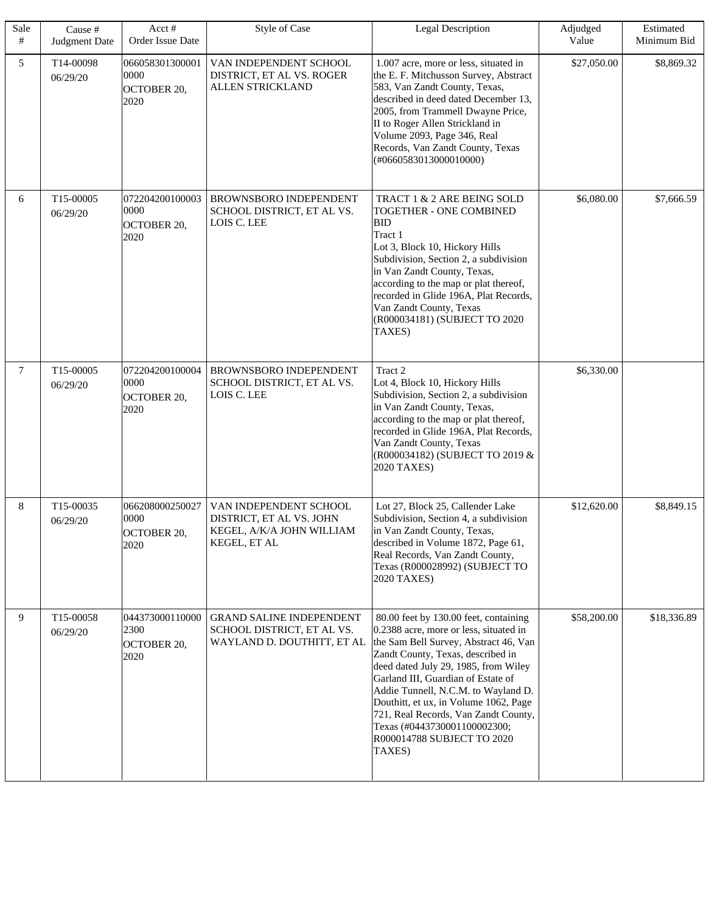| Sale<br># | Cause #<br>Judgment Date | Acct#<br>Order Issue Date                             | <b>Style of Case</b>                                                                            | <b>Legal Description</b>                                                                                                                                                                                                                                                                                                                                                                                                                    | Adjudged<br>Value | Estimated<br>Minimum Bid |
|-----------|--------------------------|-------------------------------------------------------|-------------------------------------------------------------------------------------------------|---------------------------------------------------------------------------------------------------------------------------------------------------------------------------------------------------------------------------------------------------------------------------------------------------------------------------------------------------------------------------------------------------------------------------------------------|-------------------|--------------------------|
| 5         | T14-00098<br>06/29/20    | 066058301300001<br>0000<br><b>OCTOBER 20,</b><br>2020 | VAN INDEPENDENT SCHOOL<br>DISTRICT, ET AL VS. ROGER<br><b>ALLEN STRICKLAND</b>                  | 1.007 acre, more or less, situated in<br>the E. F. Mitchusson Survey, Abstract<br>583, Van Zandt County, Texas,<br>described in deed dated December 13,<br>2005, from Trammell Dwayne Price,<br>II to Roger Allen Strickland in<br>Volume 2093, Page 346, Real<br>Records, Van Zandt County, Texas<br>(#0660583013000010000)                                                                                                                | \$27,050.00       | \$8,869.32               |
| 6         | T15-00005<br>06/29/20    | 072204200100003<br>0000<br><b>OCTOBER 20,</b><br>2020 | <b>BROWNSBORO INDEPENDENT</b><br>SCHOOL DISTRICT, ET AL VS.<br>LOIS C. LEE                      | TRACT 1 & 2 ARE BEING SOLD<br><b>TOGETHER - ONE COMBINED</b><br><b>BID</b><br>Tract 1<br>Lot 3, Block 10, Hickory Hills<br>Subdivision, Section 2, a subdivision<br>in Van Zandt County, Texas,<br>according to the map or plat thereof,<br>recorded in Glide 196A, Plat Records,<br>Van Zandt County, Texas<br>(R000034181) (SUBJECT TO 2020<br>TAXES)                                                                                     | \$6,080.00        | \$7,666.59               |
| $\tau$    | T15-00005<br>06/29/20    | 072204200100004<br>0000<br><b>OCTOBER 20,</b><br>2020 | BROWNSBORO INDEPENDENT<br>SCHOOL DISTRICT, ET AL VS.<br>LOIS C. LEE                             | Tract 2<br>Lot 4, Block 10, Hickory Hills<br>Subdivision, Section 2, a subdivision<br>in Van Zandt County, Texas,<br>according to the map or plat thereof,<br>recorded in Glide 196A, Plat Records,<br>Van Zandt County, Texas<br>(R000034182) (SUBJECT TO 2019 &<br>2020 TAXES)                                                                                                                                                            | \$6,330.00        |                          |
| 8         | T15-00035<br>06/29/20    | 066208000250027<br>0000<br>OCTOBER 20,<br>2020        | VAN INDEPENDENT SCHOOL<br>DISTRICT, ET AL VS. JOHN<br>KEGEL, A/K/A JOHN WILLIAM<br>KEGEL, ET AL | Lot 27, Block 25, Callender Lake<br>Subdivision, Section 4, a subdivision<br>in Van Zandt County, Texas,<br>described in Volume 1872, Page 61,<br>Real Records, Van Zandt County,<br>Texas (R000028992) (SUBJECT TO<br>2020 TAXES)                                                                                                                                                                                                          | \$12,620.00       | \$8,849.15               |
| 9         | T15-00058<br>06/29/20    | 044373000110000<br>2300<br><b>OCTOBER 20,</b><br>2020 | <b>GRAND SALINE INDEPENDENT</b><br>SCHOOL DISTRICT, ET AL VS.<br>WAYLAND D. DOUTHITT, ET AL     | 80.00 feet by 130.00 feet, containing<br>0.2388 acre, more or less, situated in<br>the Sam Bell Survey, Abstract 46, Van<br>Zandt County, Texas, described in<br>deed dated July 29, 1985, from Wiley<br>Garland III, Guardian of Estate of<br>Addie Tunnell, N.C.M. to Wayland D.<br>Douthitt, et ux, in Volume 1062, Page<br>721, Real Records, Van Zandt County,<br>Texas (#0443730001100002300;<br>R000014788 SUBJECT TO 2020<br>TAXES) | \$58,200.00       | \$18,336.89              |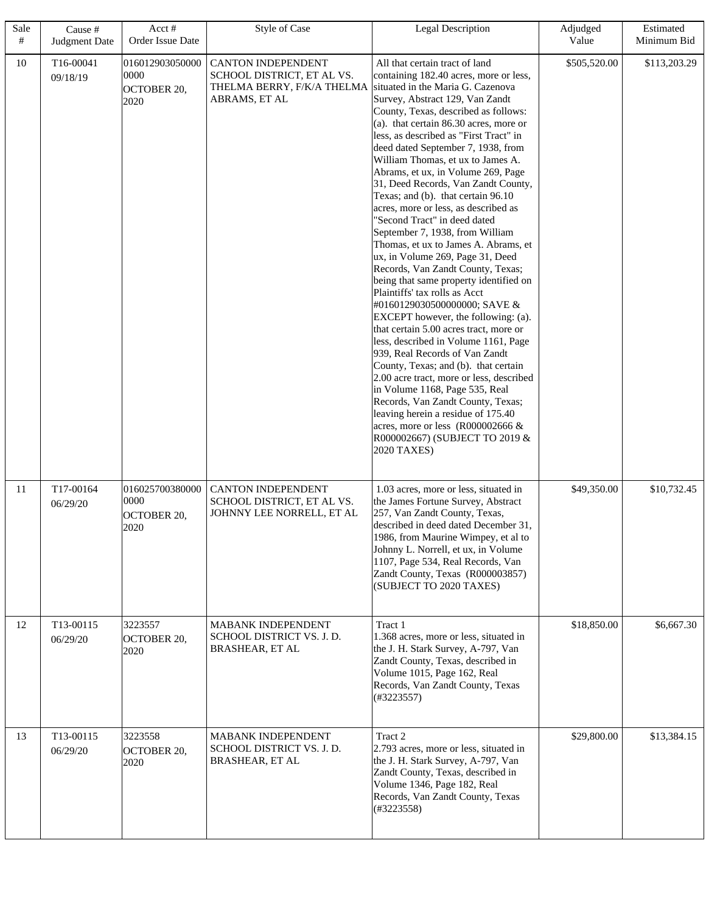| Sale<br># | Cause #<br>Judgment Date | Acct#<br>Order Issue Date                      | Style of Case                                                                                   | <b>Legal Description</b>                                                                                                                                                                                                                                                                                                                                                                                                                                                                                                                                                                                                                                                                                                                                                                                                                                                                                                                                                                                                                                                                                                                                                                                                                                                         | Adjudged<br>Value | Estimated<br>Minimum Bid |
|-----------|--------------------------|------------------------------------------------|-------------------------------------------------------------------------------------------------|----------------------------------------------------------------------------------------------------------------------------------------------------------------------------------------------------------------------------------------------------------------------------------------------------------------------------------------------------------------------------------------------------------------------------------------------------------------------------------------------------------------------------------------------------------------------------------------------------------------------------------------------------------------------------------------------------------------------------------------------------------------------------------------------------------------------------------------------------------------------------------------------------------------------------------------------------------------------------------------------------------------------------------------------------------------------------------------------------------------------------------------------------------------------------------------------------------------------------------------------------------------------------------|-------------------|--------------------------|
| 10        | T16-00041<br>09/18/19    | 016012903050000<br>0000<br>OCTOBER 20,<br>2020 | CANTON INDEPENDENT<br>SCHOOL DISTRICT, ET AL VS.<br>THELMA BERRY, F/K/A THELMA<br>ABRAMS, ET AL | All that certain tract of land<br>containing 182.40 acres, more or less,<br>situated in the Maria G. Cazenova<br>Survey, Abstract 129, Van Zandt<br>County, Texas, described as follows:<br>$(a)$ . that certain 86.30 acres, more or<br>less, as described as "First Tract" in<br>deed dated September 7, 1938, from<br>William Thomas, et ux to James A.<br>Abrams, et ux, in Volume 269, Page<br>31, Deed Records, Van Zandt County,<br>Texas; and (b). that certain 96.10<br>acres, more or less, as described as<br>"Second Tract" in deed dated<br>September 7, 1938, from William<br>Thomas, et ux to James A. Abrams, et<br>ux, in Volume 269, Page 31, Deed<br>Records, Van Zandt County, Texas;<br>being that same property identified on<br>Plaintiffs' tax rolls as Acct<br>#0160129030500000000; SAVE &<br><b>EXCEPT</b> however, the following: (a).<br>that certain 5.00 acres tract, more or<br>less, described in Volume 1161, Page<br>939, Real Records of Van Zandt<br>County, Texas; and (b). that certain<br>2.00 acre tract, more or less, described<br>in Volume 1168, Page 535, Real<br>Records, Van Zandt County, Texas;<br>leaving herein a residue of 175.40<br>acres, more or less $(R000002666 \&$<br>R000002667) (SUBJECT TO 2019 &<br>2020 TAXES) | \$505,520.00      | \$113,203.29             |
| 11        | T17-00164<br>06/29/20    | 016025700380000<br>0000<br>OCTOBER 20,<br>2020 | <b>CANTON INDEPENDENT</b><br>SCHOOL DISTRICT, ET AL VS.<br>JOHNNY LEE NORRELL, ET AL            | 1.03 acres, more or less, situated in<br>the James Fortune Survey, Abstract<br>257, Van Zandt County, Texas,<br>described in deed dated December 31,<br>1986, from Maurine Wimpey, et al to<br>Johnny L. Norrell, et ux, in Volume<br>1107, Page 534, Real Records, Van<br>Zandt County, Texas (R000003857)<br>(SUBJECT TO 2020 TAXES)                                                                                                                                                                                                                                                                                                                                                                                                                                                                                                                                                                                                                                                                                                                                                                                                                                                                                                                                           | \$49,350.00       | \$10,732.45              |
| 12        | T13-00115<br>06/29/20    | 3223557<br>OCTOBER 20,<br>2020                 | <b>MABANK INDEPENDENT</b><br>SCHOOL DISTRICT VS. J. D.<br>BRASHEAR, ET AL                       | Tract 1<br>1.368 acres, more or less, situated in<br>the J. H. Stark Survey, A-797, Van<br>Zandt County, Texas, described in<br>Volume 1015, Page 162, Real<br>Records, Van Zandt County, Texas<br>(#3223557)                                                                                                                                                                                                                                                                                                                                                                                                                                                                                                                                                                                                                                                                                                                                                                                                                                                                                                                                                                                                                                                                    | \$18,850.00       | \$6,667.30               |
| 13        | T13-00115<br>06/29/20    | 3223558<br>OCTOBER 20,<br>2020                 | <b>MABANK INDEPENDENT</b><br>SCHOOL DISTRICT VS. J. D.<br><b>BRASHEAR, ET AL</b>                | Tract 2<br>2.793 acres, more or less, situated in<br>the J. H. Stark Survey, A-797, Van<br>Zandt County, Texas, described in<br>Volume 1346, Page 182, Real<br>Records, Van Zandt County, Texas<br>(#3223558)                                                                                                                                                                                                                                                                                                                                                                                                                                                                                                                                                                                                                                                                                                                                                                                                                                                                                                                                                                                                                                                                    | \$29,800.00       | \$13,384.15              |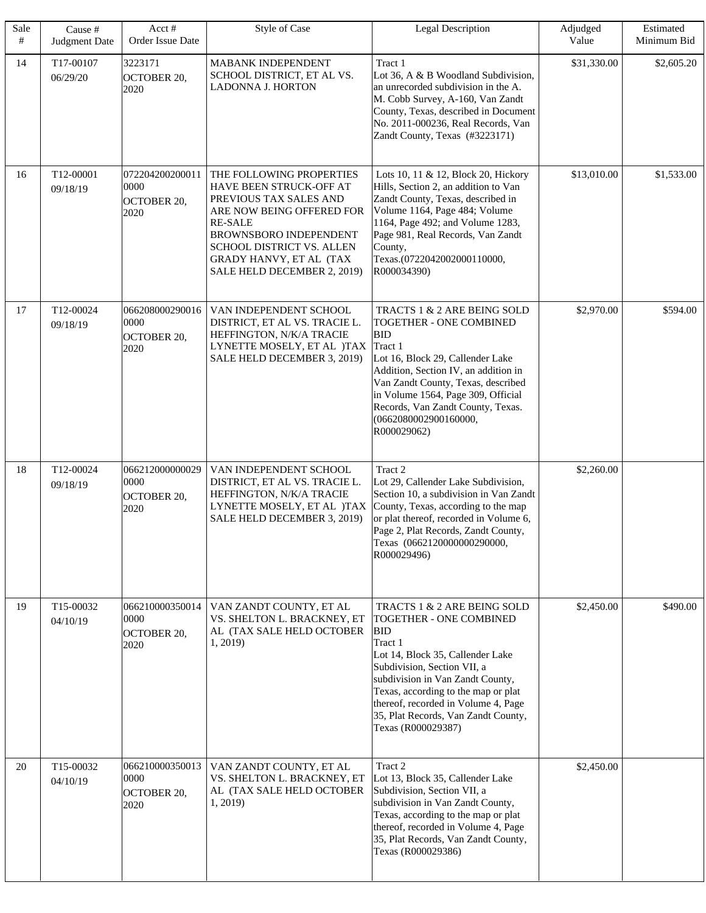| Sale<br># | Cause #<br>Judgment Date | Acct#<br>Order Issue Date                             | Style of Case                                                                                                                                                                                                                                 | <b>Legal Description</b>                                                                                                                                                                                                                                                                                                          | Adjudged<br>Value | Estimated<br>Minimum Bid |
|-----------|--------------------------|-------------------------------------------------------|-----------------------------------------------------------------------------------------------------------------------------------------------------------------------------------------------------------------------------------------------|-----------------------------------------------------------------------------------------------------------------------------------------------------------------------------------------------------------------------------------------------------------------------------------------------------------------------------------|-------------------|--------------------------|
| 14        | T17-00107<br>06/29/20    | 3223171<br><b>OCTOBER 20,</b><br>2020                 | MABANK INDEPENDENT<br>SCHOOL DISTRICT, ET AL VS.<br>LADONNA J. HORTON                                                                                                                                                                         | Tract 1<br>Lot 36, A & B Woodland Subdivision,<br>an unrecorded subdivision in the A.<br>M. Cobb Survey, A-160, Van Zandt<br>County, Texas, described in Document<br>No. 2011-000236, Real Records, Van<br>Zandt County, Texas (#3223171)                                                                                         | \$31,330.00       | \$2,605.20               |
| 16        | T12-00001<br>09/18/19    | 072204200200011<br>0000<br><b>OCTOBER 20,</b><br>2020 | THE FOLLOWING PROPERTIES<br>HAVE BEEN STRUCK-OFF AT<br>PREVIOUS TAX SALES AND<br>ARE NOW BEING OFFERED FOR<br><b>RE-SALE</b><br>BROWNSBORO INDEPENDENT<br>SCHOOL DISTRICT VS. ALLEN<br>GRADY HANVY, ET AL (TAX<br>SALE HELD DECEMBER 2, 2019) | Lots 10, 11 & 12, Block 20, Hickory<br>Hills, Section 2, an addition to Van<br>Zandt County, Texas, described in<br>Volume 1164, Page 484; Volume<br>1164, Page 492; and Volume 1283,<br>Page 981, Real Records, Van Zandt<br>County,<br>Texas.(0722042002000110000,<br>R000034390)                                               | \$13,010.00       | \$1,533.00               |
| 17        | T12-00024<br>09/18/19    | 066208000290016<br>0000<br><b>OCTOBER 20,</b><br>2020 | VAN INDEPENDENT SCHOOL<br>DISTRICT, ET AL VS. TRACIE L.<br>HEFFINGTON, N/K/A TRACIE<br>LYNETTE MOSELY, ET AL )TAX<br>SALE HELD DECEMBER 3, 2019)                                                                                              | TRACTS 1 & 2 ARE BEING SOLD<br>TOGETHER - ONE COMBINED<br><b>BID</b><br>Tract 1<br>Lot 16, Block 29, Callender Lake<br>Addition, Section IV, an addition in<br>Van Zandt County, Texas, described<br>in Volume 1564, Page 309, Official<br>Records, Van Zandt County, Texas.<br>(0662080002900160000,<br>R000029062)              | \$2,970.00        | \$594.00                 |
| 18        | T12-00024<br>09/18/19    | 066212000000029<br>0000<br><b>OCTOBER 20,</b><br>2020 | VAN INDEPENDENT SCHOOL<br>DISTRICT, ET AL VS. TRACIE L.<br>HEFFINGTON, N/K/A TRACIE<br>LYNETTE MOSELY, ET AL )TAX<br>SALE HELD DECEMBER 3, 2019)                                                                                              | Tract 2<br>Lot 29, Callender Lake Subdivision,<br>Section 10, a subdivision in Van Zandt<br>County, Texas, according to the map<br>or plat thereof, recorded in Volume 6,<br>Page 2, Plat Records, Zandt County,<br>Texas (0662120000000290000,<br>R000029496)                                                                    | \$2,260.00        |                          |
| 19        | T15-00032<br>04/10/19    | 066210000350014<br>0000<br>OCTOBER 20,<br>2020        | VAN ZANDT COUNTY, ET AL<br>VS. SHELTON L. BRACKNEY, ET<br>AL (TAX SALE HELD OCTOBER<br>1, 2019)                                                                                                                                               | TRACTS 1 & 2 ARE BEING SOLD<br>TOGETHER - ONE COMBINED<br><b>BID</b><br>Tract 1<br>Lot 14, Block 35, Callender Lake<br>Subdivision, Section VII, a<br>subdivision in Van Zandt County,<br>Texas, according to the map or plat<br>thereof, recorded in Volume 4, Page<br>35, Plat Records, Van Zandt County,<br>Texas (R000029387) | \$2,450.00        | \$490.00                 |
| 20        | T15-00032<br>04/10/19    | 066210000350013<br>0000<br><b>OCTOBER 20,</b><br>2020 | VAN ZANDT COUNTY, ET AL<br>VS. SHELTON L. BRACKNEY, ET<br>AL (TAX SALE HELD OCTOBER<br>1, 2019)                                                                                                                                               | Tract 2<br>Lot 13, Block 35, Callender Lake<br>Subdivision, Section VII, a<br>subdivision in Van Zandt County,<br>Texas, according to the map or plat<br>thereof, recorded in Volume 4, Page<br>35, Plat Records, Van Zandt County,<br>Texas (R000029386)                                                                         | \$2,450.00        |                          |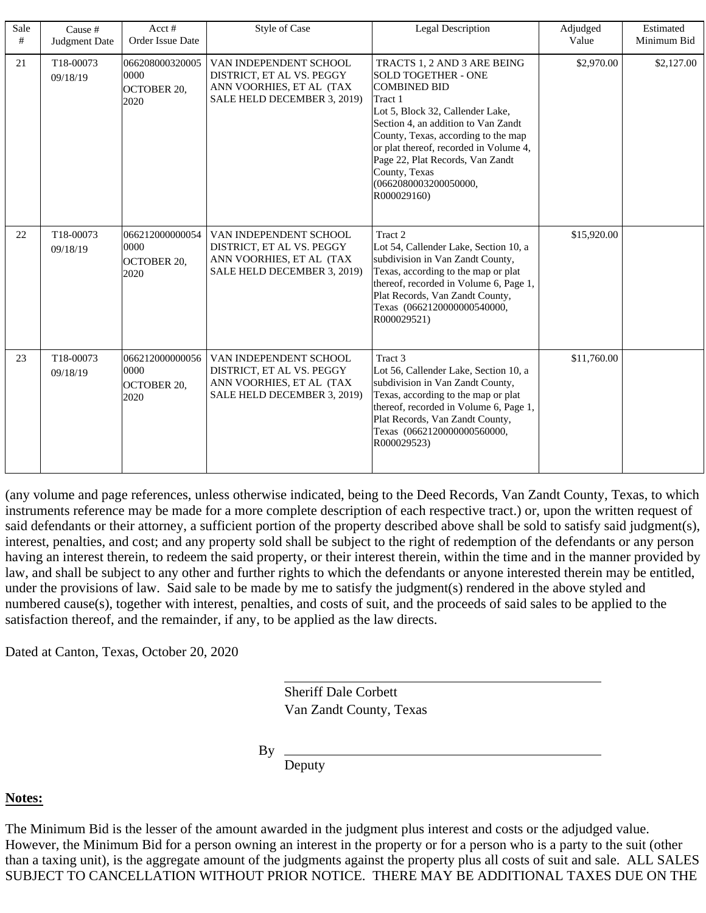| Sale<br># | Cause #<br>Judgment Date | Acct $#$<br>Order Issue Date                   | <b>Style of Case</b>                                                                                           | Legal Description                                                                                                                                                                                                                                                                                                                                    | Adjudged<br>Value | Estimated<br>Minimum Bid |
|-----------|--------------------------|------------------------------------------------|----------------------------------------------------------------------------------------------------------------|------------------------------------------------------------------------------------------------------------------------------------------------------------------------------------------------------------------------------------------------------------------------------------------------------------------------------------------------------|-------------------|--------------------------|
| 21        | T18-00073<br>09/18/19    | 066208000320005<br>0000<br>OCTOBER 20,<br>2020 | VAN INDEPENDENT SCHOOL<br>DISTRICT, ET AL VS. PEGGY<br>ANN VOORHIES, ET AL (TAX<br>SALE HELD DECEMBER 3, 2019) | TRACTS 1, 2 AND 3 ARE BEING<br><b>SOLD TOGETHER - ONE</b><br><b>COMBINED BID</b><br>Tract 1<br>Lot 5, Block 32, Callender Lake,<br>Section 4, an addition to Van Zandt<br>County, Texas, according to the map<br>or plat thereof, recorded in Volume 4,<br>Page 22, Plat Records, Van Zandt<br>County, Texas<br>(0662080003200050000,<br>R000029160) | \$2,970.00        | \$2,127.00               |
| 22        | T18-00073<br>09/18/19    | 066212000000054<br>0000<br>OCTOBER 20,<br>2020 | VAN INDEPENDENT SCHOOL<br>DISTRICT, ET AL VS. PEGGY<br>ANN VOORHIES, ET AL (TAX<br>SALE HELD DECEMBER 3, 2019) | Tract 2<br>Lot 54, Callender Lake, Section 10, a<br>subdivision in Van Zandt County,<br>Texas, according to the map or plat<br>thereof, recorded in Volume 6, Page 1,<br>Plat Records, Van Zandt County,<br>Texas (0662120000000540000,<br>R000029521)                                                                                               | \$15,920.00       |                          |
| 23        | T18-00073<br>09/18/19    | 066212000000056<br>0000<br>OCTOBER 20,<br>2020 | VAN INDEPENDENT SCHOOL<br>DISTRICT, ET AL VS. PEGGY<br>ANN VOORHIES, ET AL (TAX<br>SALE HELD DECEMBER 3, 2019) | Tract <sub>3</sub><br>Lot 56, Callender Lake, Section 10, a<br>subdivision in Van Zandt County,<br>Texas, according to the map or plat<br>thereof, recorded in Volume 6, Page 1,<br>Plat Records, Van Zandt County,<br>Texas (0662120000000560000,<br>R000029523)                                                                                    | \$11,760.00       |                          |

(any volume and page references, unless otherwise indicated, being to the Deed Records, Van Zandt County, Texas, to which instruments reference may be made for a more complete description of each respective tract.) or, upon the written request of said defendants or their attorney, a sufficient portion of the property described above shall be sold to satisfy said judgment(s), interest, penalties, and cost; and any property sold shall be subject to the right of redemption of the defendants or any person having an interest therein, to redeem the said property, or their interest therein, within the time and in the manner provided by law, and shall be subject to any other and further rights to which the defendants or anyone interested therein may be entitled, under the provisions of law. Said sale to be made by me to satisfy the judgment(s) rendered in the above styled and numbered cause(s), together with interest, penalties, and costs of suit, and the proceeds of said sales to be applied to the satisfaction thereof, and the remainder, if any, to be applied as the law directs.

Dated at Canton, Texas, October 20, 2020

Van Zandt County, Texas Sheriff Dale Corbett

By

Deputy

# **Notes:**

The Minimum Bid is the lesser of the amount awarded in the judgment plus interest and costs or the adjudged value. However, the Minimum Bid for a person owning an interest in the property or for a person who is a party to the suit (other than a taxing unit), is the aggregate amount of the judgments against the property plus all costs of suit and sale. ALL SALES SUBJECT TO CANCELLATION WITHOUT PRIOR NOTICE. THERE MAY BE ADDITIONAL TAXES DUE ON THE